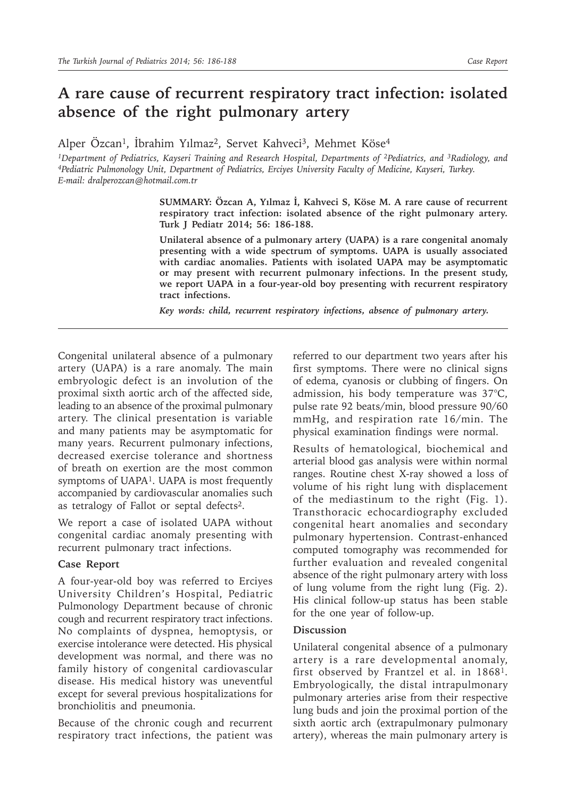## **A rare cause of recurrent respiratory tract infection: isolated absence of the right pulmonary artery**

Alper Özcan<sup>1</sup>, İbrahim Yılmaz<sup>2</sup>, Servet Kahveci<sup>3</sup>, Mehmet Köse<sup>4</sup>

<sup>1</sup>Department of Pediatrics, Kayseri Training and Research Hospital, Departments of <sup>2</sup>Pediatrics, and <sup>3</sup>Radiology, and<br><sup>4</sup>Pediatric Pulmonology Unit, Department of Pediatrics, Erciyes University Faculty of Medicine, Kays *E-mail: dralperozcan@hotmail.com.tr*

> **SUMMARY: Özcan A, Yılmaz İ, Kahveci S, Köse M. A rare cause of recurrent respiratory tract infection: isolated absence of the right pulmonary artery. Turk J Pediatr 2014; 56: 186-188.**

> **Unilateral absence of a pulmonary artery (UAPA) is a rare congenital anomaly presenting with a wide spectrum of symptoms. UAPA is usually associated with cardiac anomalies. Patients with isolated UAPA may be asymptomatic or may present with recurrent pulmonary infections. In the present study, we report UAPA in a four-year-old boy presenting with recurrent respiratory tract infections.**

*Key words: child, recurrent respiratory infections, absence of pulmonary artery.*

Congenital unilateral absence of a pulmonary artery (UAPA) is a rare anomaly. The main embryologic defect is an involution of the proximal sixth aortic arch of the affected side, leading to an absence of the proximal pulmonary artery. The clinical presentation is variable and many patients may be asymptomatic for many years. Recurrent pulmonary infections, decreased exercise tolerance and shortness of breath on exertion are the most common symptoms of UAPA<sup>1</sup>. UAPA is most frequently accompanied by cardiovascular anomalies such as tetralogy of Fallot or septal defects<sup>2</sup>.

We report a case of isolated UAPA without congenital cardiac anomaly presenting with recurrent pulmonary tract infections.

## **Case Report**

A four-year-old boy was referred to Erciyes University Children's Hospital, Pediatric Pulmonology Department because of chronic cough and recurrent respiratory tract infections. No complaints of dyspnea, hemoptysis, or exercise intolerance were detected. His physical development was normal, and there was no family history of congenital cardiovascular disease. His medical history was uneventful except for several previous hospitalizations for bronchiolitis and pneumonia.

Because of the chronic cough and recurrent respiratory tract infections, the patient was

referred to our department two years after his first symptoms. There were no clinical signs of edema, cyanosis or clubbing of fingers. On admission, his body temperature was 37°C, pulse rate 92 beats/min, blood pressure 90/60 mmHg, and respiration rate 16/min. The physical examination findings were normal.

Results of hematological, biochemical and arterial blood gas analysis were within normal ranges. Routine chest X-ray showed a loss of volume of his right lung with displacement of the mediastinum to the right (Fig. 1). Transthoracic echocardiography excluded congenital heart anomalies and secondary pulmonary hypertension. Contrast-enhanced computed tomography was recommended for further evaluation and revealed congenital absence of the right pulmonary artery with loss of lung volume from the right lung (Fig. 2). His clinical follow-up status has been stable for the one year of follow-up.

## **Discussion**

Unilateral congenital absence of a pulmonary artery is a rare developmental anomaly, first observed by Frantzel et al. in 1868<sup>1</sup>. Embryologically, the distal intrapulmonary pulmonary arteries arise from their respective lung buds and join the proximal portion of the sixth aortic arch (extrapulmonary pulmonary artery), whereas the main pulmonary artery is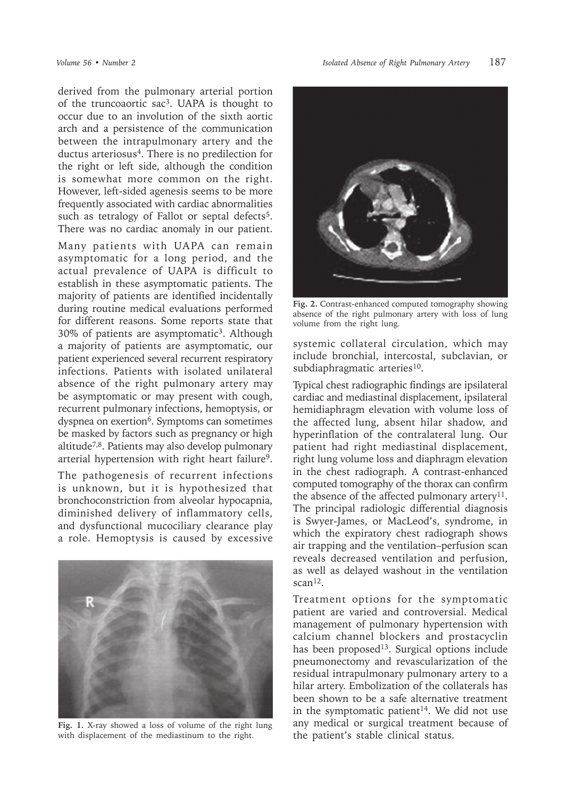derived from the pulmonary arterial portion of the truncoaortic sac3. UAPA is thought to occur due to an involution of the sixth aortic arch and a persistence of the communication between the intrapulmonary artery and the ductus arteriosus<sup>4</sup>. There is no predilection for the right or left side, although the condition is somewhat more common on the right. However, left-sided agenesis seems to be more frequently associated with cardiac abnormalities such as tetralogy of Fallot or septal defects<sup>5</sup>. There was no cardiac anomaly in our patient.

Many patients with UAPA can remain asymptomatic for a long period, and the actual prevalence of UAPA is difficult to establish in these asymptomatic patients. The majority of patients are identified incidentally during routine medical evaluations performed for different reasons. Some reports state that 30% of patients are asymptomatic3. Although a majority of patients are asymptomatic, our patient experienced several recurrent respiratory infections. Patients with isolated unilateral absence of the right pulmonary artery may be asymptomatic or may present with cough, recurrent pulmonary infections, hemoptysis, or dyspnea on exertion<sup>6</sup>. Symptoms can sometimes be masked by factors such as pregnancy or high altitude7,8. Patients may also develop pulmonary arterial hypertension with right heart failure<sup>9</sup>.

The pathogenesis of recurrent infections is unknown, but it is hypothesized that bronchoconstriction from alveolar hypocapnia, diminished delivery of inflammatory cells, and dysfunctional mucociliary clearance play a role. Hemoptysis is caused by excessive



**Fig. 1.** X-ray showed a loss of volume of the right lung with displacement of the mediastinum to the right.



**Fig. 2.** Contrast-enhanced computed tomography showing absence of the right pulmonary artery with loss of lung volume from the right lung.

systemic collateral circulation, which may include bronchial, intercostal, subclavian, or subdiaphragmatic arteries<sup>10</sup>.

Typical chest radiographic findings are ipsilateral cardiac and mediastinal displacement, ipsilateral hemidiaphragm elevation with volume loss of the affected lung, absent hilar shadow, and hyperinflation of the contralateral lung. Our patient had right mediastinal displacement, right lung volume loss and diaphragm elevation in the chest radiograph. A contrast-enhanced computed tomography of the thorax can confirm the absence of the affected pulmonary artery<sup>11</sup>. The principal radiologic differential diagnosis is Swyer-James, or MacLeod's, syndrome, in which the expiratory chest radiograph shows air trapping and the ventilation–perfusion scan reveals decreased ventilation and perfusion, as well as delayed washout in the ventilation  $scan<sup>12</sup>$ .

Treatment options for the symptomatic patient are varied and controversial. Medical management of pulmonary hypertension with calcium channel blockers and prostacyclin has been proposed<sup>13</sup>. Surgical options include pneumonectomy and revascularization of the residual intrapulmonary pulmonary artery to a hilar artery. Embolization of the collaterals has been shown to be a safe alternative treatment in the symptomatic patient<sup>14</sup>. We did not use any medical or surgical treatment because of the patient's stable clinical status.